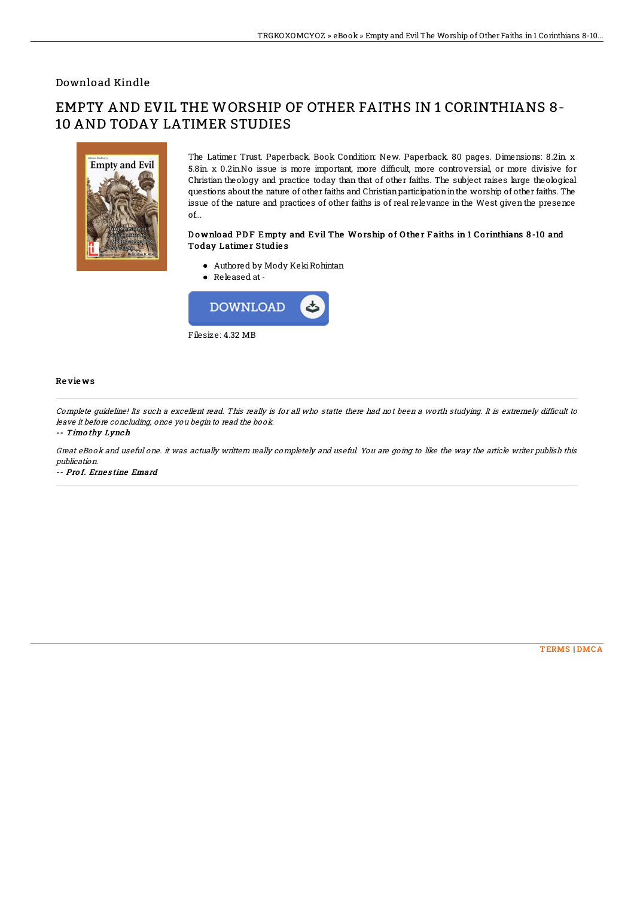## Download Kindle

# EMPTY AND EVIL THE WORSHIP OF OTHER FAITHS IN 1 CORINTHIANS 8- 10 AND TODAY LATIMER STUDIES



The Latimer Trust. Paperback. Book Condition: New. Paperback. 80 pages. Dimensions: 8.2in. x 5.8in x 0.2inNo issue is more important, more difficult, more controversial, or more divisive for Christian theology and practice today than that of other faiths. The subject raises large theological questions about the nature of other faiths and Christianparticipationinthe worship of other faiths. The issue of the nature and practices of other faiths is of real relevance in the West given the presence of...

### Download PDF Empty and Evil The Worship of Other Faiths in 1 Corinthians 8-10 and To day Latime r Studie s

- Authored by Mody KekiRohintan
- Released at-



### Re vie ws

Complete guideline! Its such a excellent read. This really is for all who statte there had not been a worth studying. It is extremely difficult to leave it before concluding, once you begin to read the book.

#### -- Timo thy Lynch

Great eBook and useful one. it was actually writtern really completely and useful. You are going to like the way the article writer publish this publication.

-- Prof. Ernestine Emard